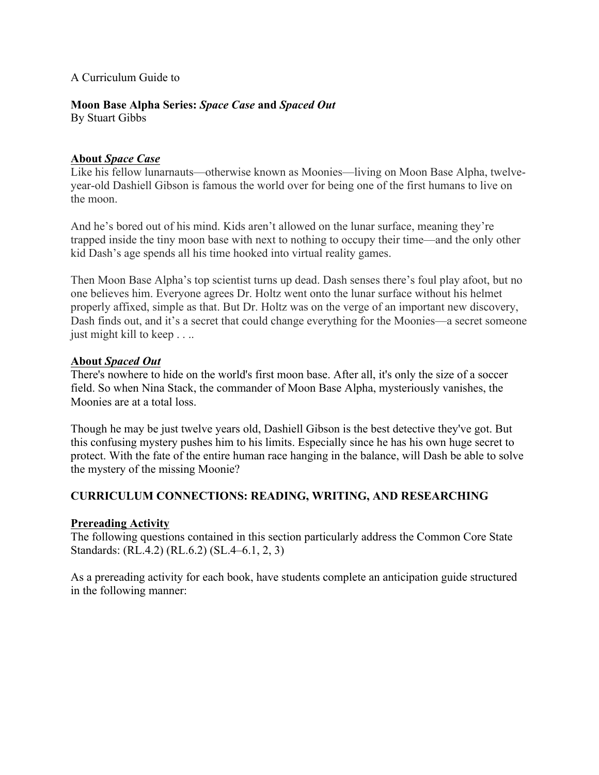#### A Curriculum Guide to

# **Moon Base Alpha Series:** *Space Case* **and** *Spaced Out*

By Stuart Gibbs

### **About** *Space Case*

Like his fellow lunarnauts—otherwise known as Moonies—living on Moon Base Alpha, twelveyear-old Dashiell Gibson is famous the world over for being one of the first humans to live on the moon.

And he's bored out of his mind. Kids aren't allowed on the lunar surface, meaning they're trapped inside the tiny moon base with next to nothing to occupy their time—and the only other kid Dash's age spends all his time hooked into virtual reality games.

Then Moon Base Alpha's top scientist turns up dead. Dash senses there's foul play afoot, but no one believes him. Everyone agrees Dr. Holtz went onto the lunar surface without his helmet properly affixed, simple as that. But Dr. Holtz was on the verge of an important new discovery, Dash finds out, and it's a secret that could change everything for the Moonies—a secret someone just might kill to keep . . ..

### **About** *Spaced Out*

There's nowhere to hide on the world's first moon base. After all, it's only the size of a soccer field. So when Nina Stack, the commander of Moon Base Alpha, mysteriously vanishes, the Moonies are at a total loss.

Though he may be just twelve years old, Dashiell Gibson is the best detective they've got. But this confusing mystery pushes him to his limits. Especially since he has his own huge secret to protect. With the fate of the entire human race hanging in the balance, will Dash be able to solve the mystery of the missing Moonie?

### **CURRICULUM CONNECTIONS: READING, WRITING, AND RESEARCHING**

### **Prereading Activity**

The following questions contained in this section particularly address the Common Core State Standards: (RL.4.2) (RL.6.2) (SL.4–6.1, 2, 3)

As a prereading activity for each book, have students complete an anticipation guide structured in the following manner: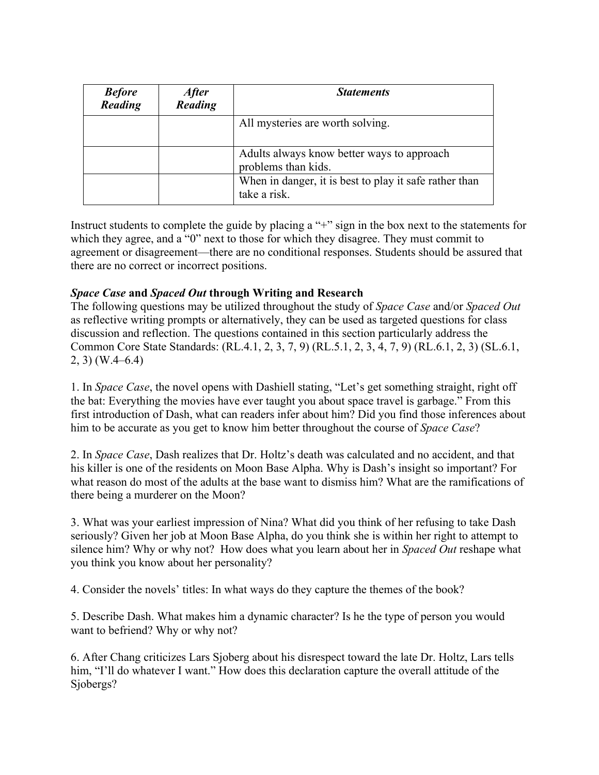| <b>Before</b><br>Reading | <i><b>After</b></i><br>Reading | <b>Statements</b>                                                      |
|--------------------------|--------------------------------|------------------------------------------------------------------------|
|                          |                                | All mysteries are worth solving.                                       |
|                          |                                | Adults always know better ways to approach<br>problems than kids.      |
|                          |                                | When in danger, it is best to play it safe rather than<br>take a risk. |

Instruct students to complete the guide by placing a "+" sign in the box next to the statements for which they agree, and a "0" next to those for which they disagree. They must commit to agreement or disagreement—there are no conditional responses. Students should be assured that there are no correct or incorrect positions.

## *Space Case* **and** *Spaced Out* **through Writing and Research**

The following questions may be utilized throughout the study of *Space Case* and/or *Spaced Out*  as reflective writing prompts or alternatively, they can be used as targeted questions for class discussion and reflection. The questions contained in this section particularly address the Common Core State Standards: (RL.4.1, 2, 3, 7, 9) (RL.5.1, 2, 3, 4, 7, 9) (RL.6.1, 2, 3) (SL.6.1, 2, 3) (W.4–6.4)

1. In *Space Case*, the novel opens with Dashiell stating, "Let's get something straight, right off the bat: Everything the movies have ever taught you about space travel is garbage." From this first introduction of Dash, what can readers infer about him? Did you find those inferences about him to be accurate as you get to know him better throughout the course of *Space Case*?

2. In *Space Case*, Dash realizes that Dr. Holtz's death was calculated and no accident, and that his killer is one of the residents on Moon Base Alpha. Why is Dash's insight so important? For what reason do most of the adults at the base want to dismiss him? What are the ramifications of there being a murderer on the Moon?

3. What was your earliest impression of Nina? What did you think of her refusing to take Dash seriously? Given her job at Moon Base Alpha, do you think she is within her right to attempt to silence him? Why or why not? How does what you learn about her in *Spaced Out* reshape what you think you know about her personality?

4. Consider the novels' titles: In what ways do they capture the themes of the book?

5. Describe Dash. What makes him a dynamic character? Is he the type of person you would want to befriend? Why or why not?

6. After Chang criticizes Lars Sjoberg about his disrespect toward the late Dr. Holtz, Lars tells him, "I'll do whatever I want." How does this declaration capture the overall attitude of the Sjobergs?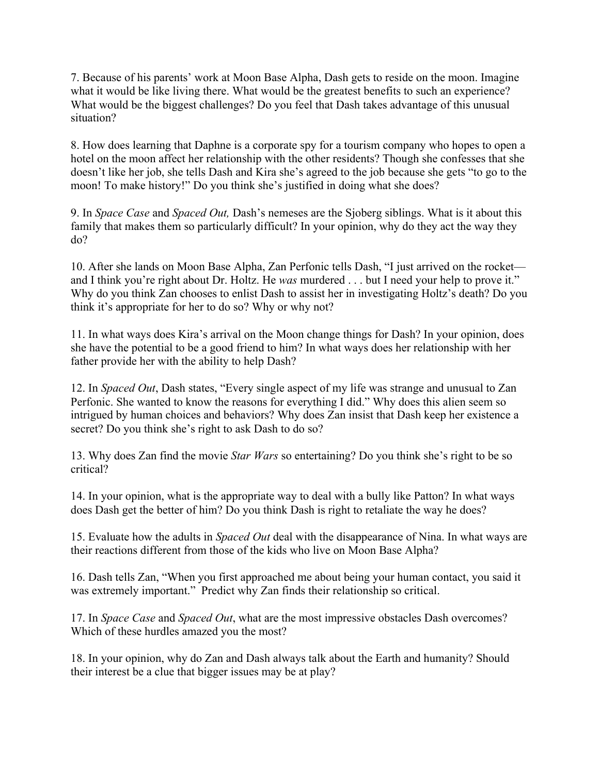7. Because of his parents' work at Moon Base Alpha, Dash gets to reside on the moon. Imagine what it would be like living there. What would be the greatest benefits to such an experience? What would be the biggest challenges? Do you feel that Dash takes advantage of this unusual situation?

8. How does learning that Daphne is a corporate spy for a tourism company who hopes to open a hotel on the moon affect her relationship with the other residents? Though she confesses that she doesn't like her job, she tells Dash and Kira she's agreed to the job because she gets "to go to the moon! To make history!" Do you think she's justified in doing what she does?

9. In *Space Case* and *Spaced Out,* Dash's nemeses are the Sjoberg siblings. What is it about this family that makes them so particularly difficult? In your opinion, why do they act the way they do?

10. After she lands on Moon Base Alpha, Zan Perfonic tells Dash, "I just arrived on the rocket and I think you're right about Dr. Holtz. He *was* murdered . . . but I need your help to prove it." Why do you think Zan chooses to enlist Dash to assist her in investigating Holtz's death? Do you think it's appropriate for her to do so? Why or why not?

11. In what ways does Kira's arrival on the Moon change things for Dash? In your opinion, does she have the potential to be a good friend to him? In what ways does her relationship with her father provide her with the ability to help Dash?

12. In *Spaced Out*, Dash states, "Every single aspect of my life was strange and unusual to Zan Perfonic. She wanted to know the reasons for everything I did." Why does this alien seem so intrigued by human choices and behaviors? Why does Zan insist that Dash keep her existence a secret? Do you think she's right to ask Dash to do so?

13. Why does Zan find the movie *Star Wars* so entertaining? Do you think she's right to be so critical?

14. In your opinion, what is the appropriate way to deal with a bully like Patton? In what ways does Dash get the better of him? Do you think Dash is right to retaliate the way he does?

15. Evaluate how the adults in *Spaced Out* deal with the disappearance of Nina. In what ways are their reactions different from those of the kids who live on Moon Base Alpha?

16. Dash tells Zan, "When you first approached me about being your human contact, you said it was extremely important." Predict why Zan finds their relationship so critical.

17. In *Space Case* and *Spaced Out*, what are the most impressive obstacles Dash overcomes? Which of these hurdles amazed you the most?

18. In your opinion, why do Zan and Dash always talk about the Earth and humanity? Should their interest be a clue that bigger issues may be at play?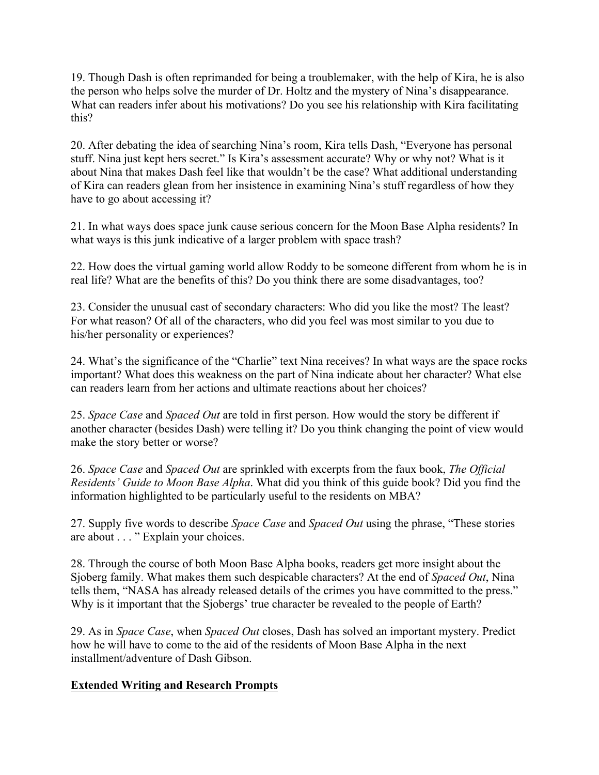19. Though Dash is often reprimanded for being a troublemaker, with the help of Kira, he is also the person who helps solve the murder of Dr. Holtz and the mystery of Nina's disappearance. What can readers infer about his motivations? Do you see his relationship with Kira facilitating this?

20. After debating the idea of searching Nina's room, Kira tells Dash, "Everyone has personal stuff. Nina just kept hers secret." Is Kira's assessment accurate? Why or why not? What is it about Nina that makes Dash feel like that wouldn't be the case? What additional understanding of Kira can readers glean from her insistence in examining Nina's stuff regardless of how they have to go about accessing it?

21. In what ways does space junk cause serious concern for the Moon Base Alpha residents? In what ways is this junk indicative of a larger problem with space trash?

22. How does the virtual gaming world allow Roddy to be someone different from whom he is in real life? What are the benefits of this? Do you think there are some disadvantages, too?

23. Consider the unusual cast of secondary characters: Who did you like the most? The least? For what reason? Of all of the characters, who did you feel was most similar to you due to his/her personality or experiences?

24. What's the significance of the "Charlie" text Nina receives? In what ways are the space rocks important? What does this weakness on the part of Nina indicate about her character? What else can readers learn from her actions and ultimate reactions about her choices?

25. *Space Case* and *Spaced Out* are told in first person. How would the story be different if another character (besides Dash) were telling it? Do you think changing the point of view would make the story better or worse?

26. *Space Case* and *Spaced Out* are sprinkled with excerpts from the faux book, *The Official Residents' Guide to Moon Base Alpha*. What did you think of this guide book? Did you find the information highlighted to be particularly useful to the residents on MBA?

27. Supply five words to describe *Space Case* and *Spaced Out* using the phrase, "These stories are about . . . " Explain your choices.

28. Through the course of both Moon Base Alpha books, readers get more insight about the Sjoberg family. What makes them such despicable characters? At the end of *Spaced Out*, Nina tells them, "NASA has already released details of the crimes you have committed to the press." Why is it important that the Sjobergs' true character be revealed to the people of Earth?

29. As in *Space Case*, when *Spaced Out* closes, Dash has solved an important mystery. Predict how he will have to come to the aid of the residents of Moon Base Alpha in the next installment/adventure of Dash Gibson.

### **Extended Writing and Research Prompts**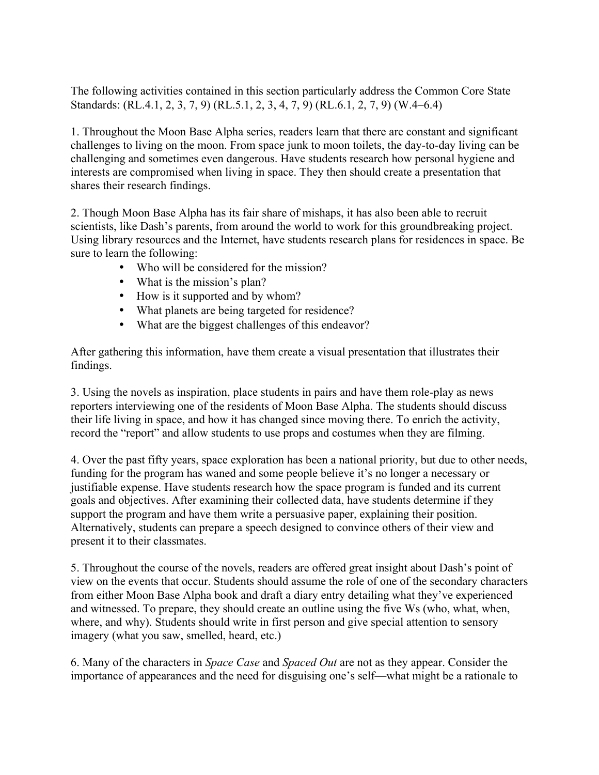The following activities contained in this section particularly address the Common Core State Standards: (RL.4.1, 2, 3, 7, 9) (RL.5.1, 2, 3, 4, 7, 9) (RL.6.1, 2, 7, 9) (W.4–6.4)

1. Throughout the Moon Base Alpha series, readers learn that there are constant and significant challenges to living on the moon. From space junk to moon toilets, the day-to-day living can be challenging and sometimes even dangerous. Have students research how personal hygiene and interests are compromised when living in space. They then should create a presentation that shares their research findings.

2. Though Moon Base Alpha has its fair share of mishaps, it has also been able to recruit scientists, like Dash's parents, from around the world to work for this groundbreaking project. Using library resources and the Internet, have students research plans for residences in space. Be sure to learn the following:

- Who will be considered for the mission?
- What is the mission's plan?
- How is it supported and by whom?
- What planets are being targeted for residence?
- What are the biggest challenges of this endeavor?

After gathering this information, have them create a visual presentation that illustrates their findings.

3. Using the novels as inspiration, place students in pairs and have them role-play as news reporters interviewing one of the residents of Moon Base Alpha. The students should discuss their life living in space, and how it has changed since moving there. To enrich the activity, record the "report" and allow students to use props and costumes when they are filming.

4. Over the past fifty years, space exploration has been a national priority, but due to other needs, funding for the program has waned and some people believe it's no longer a necessary or justifiable expense. Have students research how the space program is funded and its current goals and objectives. After examining their collected data, have students determine if they support the program and have them write a persuasive paper, explaining their position. Alternatively, students can prepare a speech designed to convince others of their view and present it to their classmates.

5. Throughout the course of the novels, readers are offered great insight about Dash's point of view on the events that occur. Students should assume the role of one of the secondary characters from either Moon Base Alpha book and draft a diary entry detailing what they've experienced and witnessed. To prepare, they should create an outline using the five Ws (who, what, when, where, and why). Students should write in first person and give special attention to sensory imagery (what you saw, smelled, heard, etc.)

6. Many of the characters in *Space Case* and *Spaced Out* are not as they appear. Consider the importance of appearances and the need for disguising one's self—what might be a rationale to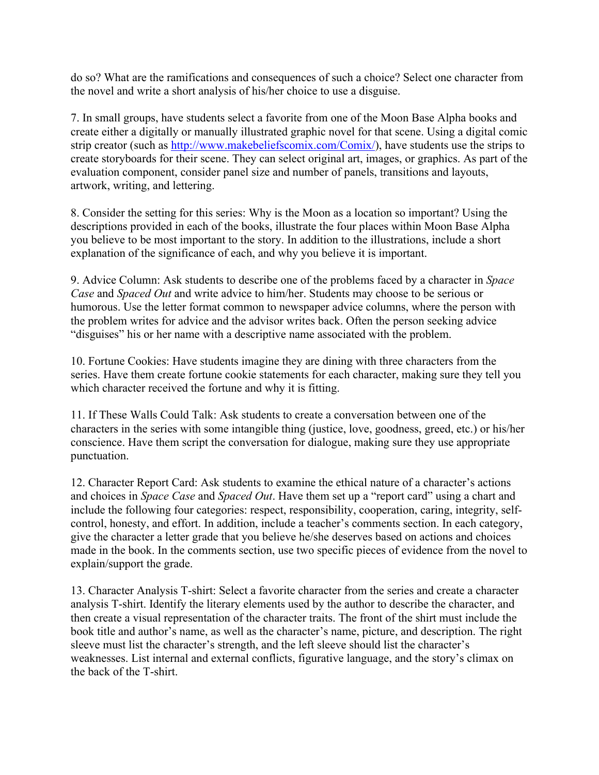do so? What are the ramifications and consequences of such a choice? Select one character from the novel and write a short analysis of his/her choice to use a disguise.

7. In small groups, have students select a favorite from one of the Moon Base Alpha books and create either a digitally or manually illustrated graphic novel for that scene. Using a digital comic strip creator (such as http://www.makebeliefscomix.com/Comix/), have students use the strips to create storyboards for their scene. They can select original art, images, or graphics. As part of the evaluation component, consider panel size and number of panels, transitions and layouts, artwork, writing, and lettering.

8. Consider the setting for this series: Why is the Moon as a location so important? Using the descriptions provided in each of the books, illustrate the four places within Moon Base Alpha you believe to be most important to the story. In addition to the illustrations, include a short explanation of the significance of each, and why you believe it is important.

9. Advice Column: Ask students to describe one of the problems faced by a character in *Space Case* and *Spaced Out* and write advice to him/her. Students may choose to be serious or humorous. Use the letter format common to newspaper advice columns, where the person with the problem writes for advice and the advisor writes back. Often the person seeking advice "disguises" his or her name with a descriptive name associated with the problem.

10. Fortune Cookies: Have students imagine they are dining with three characters from the series. Have them create fortune cookie statements for each character, making sure they tell you which character received the fortune and why it is fitting.

11. If These Walls Could Talk: Ask students to create a conversation between one of the characters in the series with some intangible thing (justice, love, goodness, greed, etc.) or his/her conscience. Have them script the conversation for dialogue, making sure they use appropriate punctuation.

12. Character Report Card: Ask students to examine the ethical nature of a character's actions and choices in *Space Case* and *Spaced Out*. Have them set up a "report card" using a chart and include the following four categories: respect, responsibility, cooperation, caring, integrity, selfcontrol, honesty, and effort. In addition, include a teacher's comments section. In each category, give the character a letter grade that you believe he/she deserves based on actions and choices made in the book. In the comments section, use two specific pieces of evidence from the novel to explain/support the grade.

13. Character Analysis T-shirt: Select a favorite character from the series and create a character analysis T-shirt. Identify the literary elements used by the author to describe the character, and then create a visual representation of the character traits. The front of the shirt must include the book title and author's name, as well as the character's name, picture, and description. The right sleeve must list the character's strength, and the left sleeve should list the character's weaknesses. List internal and external conflicts, figurative language, and the story's climax on the back of the T-shirt.